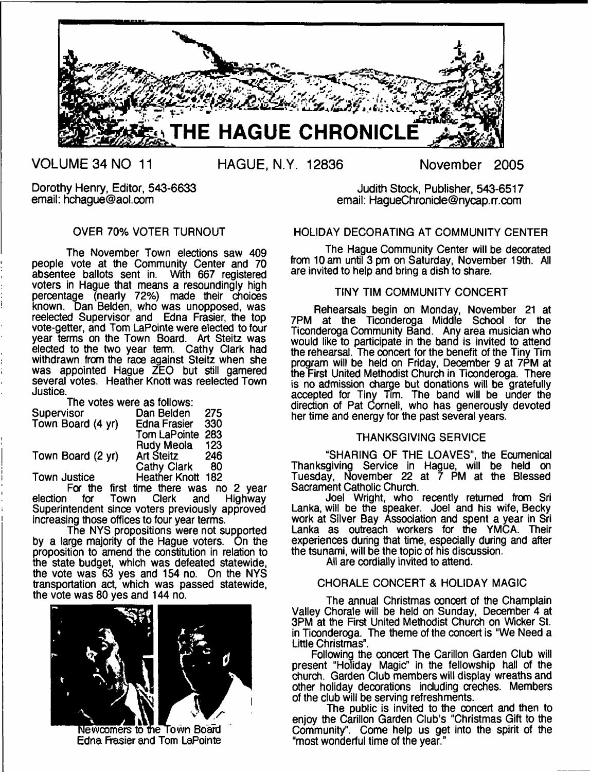

**VOLUME 34 NO 11**

**HAGUE, N.Y. 12836 November 2005**

Dorothy Henry, Editor, 543-6633 email: [hchague@aol.com](mailto:hchague@aol.com)

# OVER 70% VOTER TURNOUT

The November Town elections saw 409 people vote at the Community Center and 70 absentee ballots sent in. With 667 registered voters in Hague that means a resoundingly high percentage (nearly 72%) made their choices known. Dan Belden, who was unopposed, was reelected Supervisor and Edna Frasier, the top vote-getter, and Tom LaPointe were elected to four year terms on the Town Board. Art Steitz was elected to the two year term. Cathy Clark had withdrawn from the race against Steitz when she was appointed Hague ZEO but still garnered several votes. Heather Knott was reelected Town Justice.

| The votes were as follows: |                     |     |
|----------------------------|---------------------|-----|
| Supervisor                 | Dan Belden          | 275 |
| Town Board (4 yr)          | <b>Edna Frasier</b> | 330 |
|                            | Tom LaPointe        | 283 |
|                            | <b>Rudy Meola</b>   | 123 |
| Town Board (2 yr)          | <b>Art Steitz</b>   | 246 |
|                            | <b>Cathy Clark</b>  | 80  |
| <b>Town Justice</b>        | Heather Knott 182   |     |

For the first time there was no 2 year<br>election for Town Clerk and Highway election for Town Clerk and Highway Superintendent since voters previously approved increasing those offices to four year terms.

The NYS propositions were not supported by a large majority of the Hague voters. On the proposition to amend the constitution in relation to the state budget, which was defeated statewide, the vote was 63 yes and 154 no. On the NYS transportation act, which was passed statewide, the vote was 80 yes and 144 no.



Newcomers to the Town Board Edna Frasier and Tom LaPointe

Judith Stock, Publisher, 543-6517 email: [HagueChronicle@nycap.rr.com](mailto:HagueChronicle@nycap.rr.com)

# HOLIDAY DECORATING AT COMMUNITY CENTER

The Hague Community Center will be decorated from 10 am until 3 pm on Saturday, November 19th. All are invited to help and bring a dish to share.

## TINY TIM COMMUNITY CONCERT

Rehearsals begin on Monday, November 21 at 7PM at the Ticonderoga Middle School for the Ticonderoga Community Band. Any area musician who would like to participate in the band is invited to attend the rehearsal. The concert for the benefit of the Tiny Tim program will be held on Friday, December 9 at 7PM at the First United Methodist Church in Ticonderoga. There is no admission charge but donations will be gratefully accepted for Tiny Tim. The band will be under the direction of Pat Cornell, who has generously devoted her time and energy for the past several years.

## THANKSGIVING SERVICE

"SHARING OF THE LOAVES", the Ecumenical Than ksgivina Service in Hague, will be held on Tuesday, November 22 at 7 PM at the Blessed Sacrament Catholic Church.

Joel Wright, who recently returned from Sri Lanka, will be the speaker. Joel and his wife, Becky work at Silver Bay Association and spent a year in Sri Lanka as outreach workers for the YMCA. Their experiences during that time, especially during and after the tsunami, will be the topic of his discussion.

All are cordially invited to attend.

# CHORALE CONCERT & HOLIDAY MAGIC

The annual Christmas concert of the Champlain Valley Chorale will be held on Sunday, December 4 at 3PM at the First United Methodist Church on Wicker St. in Ticonderoga. The theme of the concert is "We Need a Little Christmas".

Following the concert The Carillon Garden Club will present "Holiday Magic" in the fellowship hall of the church. Garden Club members will display wreaths and other holiday decorations including creches. Members of the club will be serving refreshments.

The public is invited to the ooncert and then to enjoy the Carillon Garden Club's "Christmas Gift to the Community". Come help us get into the spirit of the "most wonderful time of the year."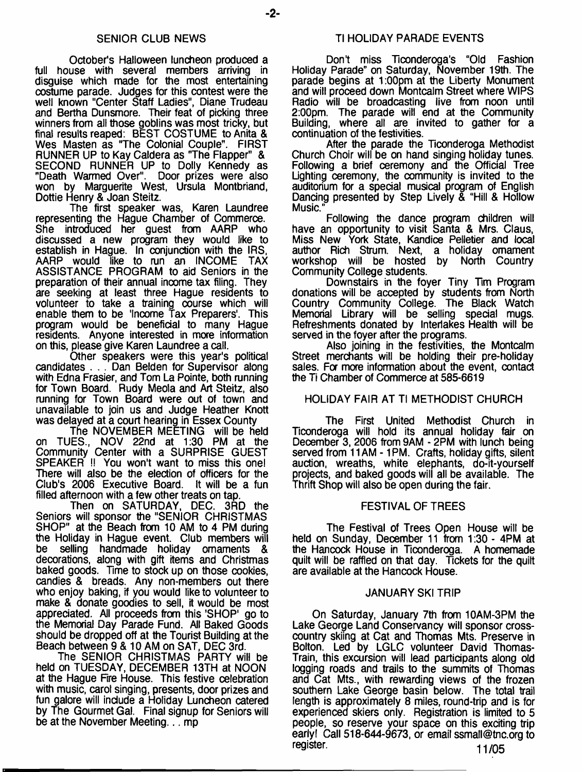## SENIOR CLUB NEWS

October's Halloween luncheon produced a full house with several members arriving in disguise which made for the most entertaining costume parade. Judges for this contest were the well known "Center Staff Ladies", Diane Trudeau and Bertha Dunsmore. Their feat of picking three winners from all those goblins was most tricky, but final results reaped: BEST COSTUME to Anita & Wes Masten as "The Colonial Couple". FIRST RUNNER UP to Kay Caldera as "The Flapper" & SECOND RUNNER UP to Dolly Kennedy as "Death Warmed Over". Door prizes were also won by Marguerite West, Ursula Montbriand, Dottie Henry & Joan Steitz.

The first speaker was, Karen Laundree representing the Hague Chamber of Commerce. She introduced her guest from AARP who discussed a new program they would like to establish in Hague. In conjunction with the IRS, AARP would like to run an INCOME TAX ASSISTANCE PROGRAM to aid Seniors in the preparation of their annual inoome tax filing. They are seeking at least three Hague residents to volunteer to take a training course which will enable them to be 'Income Tax Preparers'. This program would be beneficial to many Hague residents. Anyone interested in more information on this, please give Karen Laundree a call.

Other speakers were this year's political candidates . . . Dan Belden for Supervisor along with Edna Frasier, and Tom La Pointe, both running for Town Board. Rudy Meola and Art Steitz, also running for Town Board were out of town and unavailable to join us and Judge Heather Knott was delayed at a court hearing in Essex County

The NOVEMBER MEETING will be held on TUES., NOV 22nd at 1:30 PM at the Community Center with a SURPRISE GUEST SPEAKER !! You won't want to miss this one! There will also be the election of officers for the Club's 2006 Executive Board. It will be a fun filled afternoon with a few other treats on tap.

Then on SATURDAY, DEC. 3RD the Seniors will sponsor the "SENIOR CHRISTMAS SHOP" at the Beach from 10 AM to 4 PM during the Holiday in Hague event. Club members will be selling handmade holiday ornaments & decorations, along with gift items and Christmas baked goods. Time to stock up on those cookies, candies & breads. Any non-members out there who enjoy baking, if you would like to volunteer to make & donate goodies to sell, it would be most appreciated. All proceeds from this 'SHOP' go to the Memorial Day Parade Fund. All Baked Goods should be dropped off at the Tourist Building at the Beach between 9 & 10 AM on SAT, DEC 3rd.

The SENIOR CHRISTMAS PARTY will be held on TUESDAY, DECEMBER 13TH at NOON at the Hague Fire House. This festive celebration with music, carol singing, presents, door prizes and fun galore will include a Holiday Luncheon catered by The Gourmet Gal. Final signup for Seniors will be at the November Meeting... mp

## Tl HOLIDAY PARADE EVENTS

Don't miss Ticonderoga's "Old Fashion" Holiday Parade" on Saturday, November 19th. The parade begins at 1:00pm at the Liberty Monument and will proceed down Montcalm Street where WIPS Radio will be broadcasting live from noon until 2:00pm. The parade will end at the Community Building, where all are invited to gather for a continuation of the festivities.

After the parade the Ticonderoga Methodist Church Choir will be on hand singing holiday tunes. Following a brief ceremony and the Official Tree Lighting ceremony, the community is invited to the auditorium for a special musical program of English Dancing presented by Step Lively & "Hill & Hollow Music.

Following the dance program children will have an opportunity to visit Santa & Mrs. Claus, Miss New York State, Kandice Pelletier and local author Rich Strum. Next, a holiday ornament workshop will be hosted by North Country Community College students.

Downstairs in the foyer Tiny Tim Program donations will be accepted by students from North Country Community College. The Black Watch Memorial Library will be selling special mugs. Refreshments donated by Interlakes Health will be served in the foyer after the programs.

Also joining in the festivities, the Montcalm Street merchants will be holding their pre-holiday sales. For more information about the event, contact the Ti Chamber of Commerce at 585-6619

## HOLIDAY FAIR AT Tl METHODIST CHURCH

The First United Methodist Church in Ticonderoga will hold its annual holiday fair on December 3, 2006 from 9AM - 2PM with lunch being served from 11AM - 1PM. Crafts, holiday gifts, silent auction, wreaths, white elephants, do-it-yourself projects, and baked goods will all be available. The Thrift Shop will also be open during the fair.

#### FESTIVAL OF TREES

The Festival of Trees Open House will be held on Sunday, December 11 from 1:30 - 4PM at the Hancock House in Ticonderoga. A homemade quilt will be raffled on that day. Tickets for the quilt are available at the Hancock House.

### JANUARY SKI TRIP

On Saturday, January 7th from 10AM-3PM the Lake George Land Conservancy will sponsor crosscountry skiing at Cat and Thomas Mts. Preserve in Bolton. Led by LGLC volunteer David Thomas-Train, this excursion will lead participants along old logging roads and trails to the summits of Thomas and Cat Mts., with rewarding views of the frozen southern Lake George basin below. The total trail length is approximately 8 miles, round-trip and is for experienced skiers only. Registration is limited to 5 people, so reserve your space on this exciting trip early! Call 518-644-9673, or email [ssmall@tnc.org](mailto:ssmall@tnc.org) to register. 11/05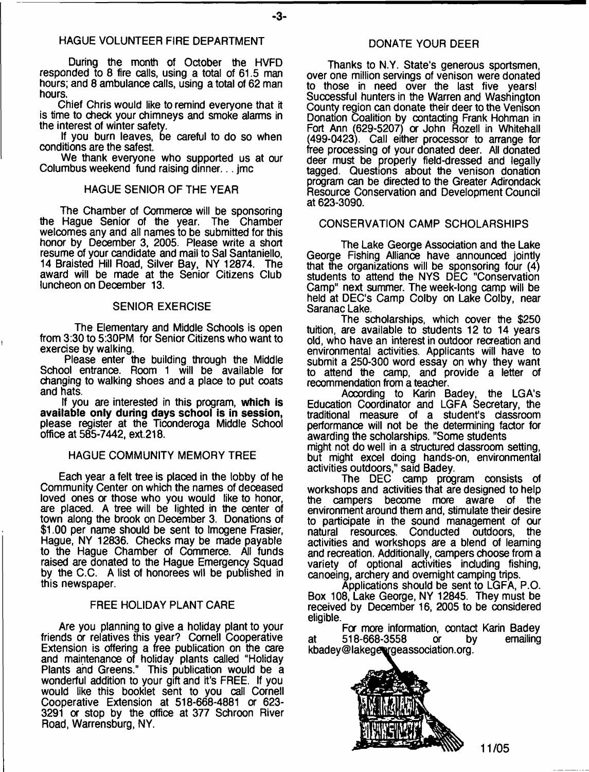### HAGUE VOLUNTEER FIRE DEPARTMENT

During the month of October the HVFD responded to 8 fire calls, using a total of 61.5 man hours; and 8 ambulance calls, using a total of 62 man hours.

Chief Chris would like to remind everyone that it is time to check your chimneys and smoke alarms in the interest of winter safety.

If you burn leaves, be careful to do so when conditions are the safest.

We thank everyone who supported us at our Columbus weekend fund raising dinner... jmc

## HAGUE SENIOR OF THE YEAR

The Chamber of Commerce will be sponsoring the Hague Senior of the year. The Chamber welcomes any and all names to be submitted for this honor by December 3, 2005. Please write a short resume of your candidate and mail to Sal Santaniello, 14 Braisted Hill Road, Silver Bay, NY 12874. The award will be made at the Senior Citizens Club luncheon on December 13.

## SENIOR EXERCISE

The Elementary and Middle Schools is open from 3:30 to 5:30PM for Senior Citizens who want to exercise by walking.

Please enter the building through the Middle School entrance. Room 1 will be available for changing to walking shoes and a place to put coats and hats.

If you are interested in this program, **which is available only during days school is in session,** please register at the Tioonderoga Middle School office at 585-7442, ext.218.

#### HAGUE COMMUNITY MEMORY TREE

Each year a felt tree is placed in the lobby of he Community Center on which the names of deceased loved ones or those who you would like to honor, are placed. A tree will be lighted in the center of town along the brook on December 3. Donations of \$1.00 per name should be sent to Imogene Frasier, Hague, NY 12836. Checks may be made payable to the Hague Chamber of Commerce. All funds raised are donated to the Hague Emergency Squad by the C.C. A list of honorees wll be published in this newspaper.

## FREE HOLIDAY PLANT CARE

Are you planning to give a holiday plant to your friends or relatives this year? Cornell Cooperative Extension is offering a free publication on the care and maintenance of holiday plants called "Holiday Plants and Greens." This publication would be a wonderful addition to your gift and it's FREE. If you would like this booklet sent to you call Cornell Cooperative Extension at 518-668-4881 or 623- 3291 or stop by the office at 377 Schroon River Road, Warrensburg, NY.

## DONATE YOUR DEER

Thanks to N.Y. State's generous sportsmen, over one million servings of venison were donated to those in need over the last five years! Successful hunters in the Warren and Washington County region can donate their deer to the Venison Donation Coalition by contacting Frank Hohman in Fort Ann (629-5207) or John Rozell in Whitehall (499-0423). Call either processor to arrange for free processing of your donated deer. All donated deer must be properly field-dressed and legally tagged. Questions about the venison donation program can be directed to the Greater Adirondack Resource Conservation and Development Council at 623-3090.

## CONSERVATION CAMP SCHOLARSHIPS

The Lake George Association and the Lake George Fishing Alliance have announced jointly that the organizations will be sponsoring four (4) students to attend the NYS DEC "Conservation Camp" next summer. The week-long camp will be held at DEC'S Camp Colby on Lake Colby, near Saranac Lake.

The scholarships, which cover the \$250 tuition, are available to students 12 to 14 years old, who have an interest in outdoor recreation and environmental activities. Applicants will have to submit a 250-300 word essay on why they want to attend the camp, and provide a letter of recommendation from a teacher.

According to Karin Badey, the LGA's Education Coordinator and LGFA Secretary, the traditional measure of a student's classroom performance will not be the determining factor for awarding the scholarships. "Some students might not do well in a structured classroom setting, but might excel doing hands-on, environmental activities outdoors," said Badey.

The DEC camp program consists of workshops and activities that are designed to help the campers become more aware of the environment around them and, stimulate their desire to participate in the sound management of our Conducted outdoors, the activities and workshops are a blend of learning and recreation. Additionally, campers choose from a variety of optional activities including fishing, canoeing, archery and overnight camping trips.

Applications should be sent to LGFA, P.O. Box 108, Lake George, NY 12845. They must be received by December 16, 2005 to be considered eligible.

For more information, contact Karin Badey<br>518-668-3558 or by emailing at 518-668-3558 or kbadey@lakegeorgeassociation.org.



**11/05**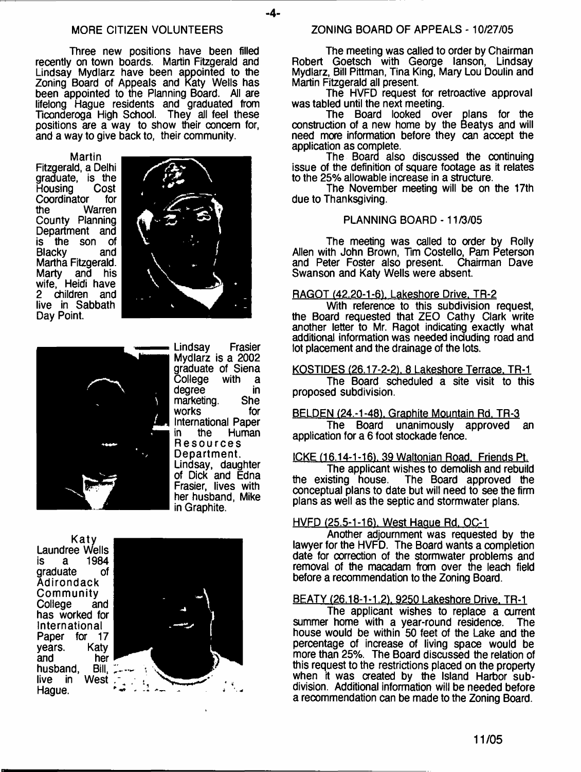### MORE CITIZEN VOLUNTEERS

Three new positions have been filled recently on town boards. Martin Fitzgerald and Lindsay Mydlarz have been appointed to the Zoning Board of Appeals and Katy Wells has been appointed to the Planning Board. All are lifelong Hague residents and graduated from Ticonderoga High School. They all feel these positions are a way to show their concern for, and a way to give back to, their community.

Martin Fitzgerald, a Delhi graduate, is the<br>Housing Cost Housing Cost<br>Coordinator for Coordinator<br>the W Warren County Planning Department and is the son of<br>Blacky and Blacky and Martha Fitzgerald. Marty and his wife, Heidi have 2 children and live in Sabbath Day Point.





Lindsay Frasier Mydlarz is a 2002 graduate of Siena<br>College with a Čollege with a<br>degree in degree in<br>marketing. She marketing. She<br>works for works International Paper<br>in the Human **Human** Resources Department. Lindsay, daughter of Dick and Edna Frasier, lives with her husband, Mike in Graphite.

Laundree Wells is a 1984 graduate **Adirondack Community** College and has worked for International<br>Paper for 17 Paper for 17<br>years. Katy years. Katy<br>and her and her<br>husband, Bill, husband, Bill,<br>live in West live in Hague.



## ZONING BOARD OF APPEALS - 10/27/05

The meeting was called to order by Chairman Robert Goetsch with George lanson, Lindsay Mydlarz, Bill Pittman, Tina King, Mary Lou Doulin and Martin Fitzgerald all present.

The HVFD request for retroactive approval was tabled until the next meeting.

The Board looked over plans for the construction of a new home by the Beatys and will need more information before they can accept the application as complete.

The Board also discussed the continuing issue of the definition of square footage as it relates to the 25% allowable increase in a structure.

The November meeting will be on the 17th due to Thanksgiving.

## PLANNING BOARD-11/3/05

The meeting was called to order by Roily Allen with John Brown, Tim Costello, Pam Peterson and Peter Foster also present. Chairman Dave Swanson and Katy Wells were absent.

## RAGOT (42.20-1-61. Lakeshore Drive. TR-2

With reference to this subdivision request, the Board requested that ZEO Cathy Clark write another letter to Mr. Ragot indicating exactly what additional information was needed including road and lot placement and the drainage of the lots.

#### KOSTIDES (26.17-2-2), 8 Lakeshore Terrace, TR-1

The Board scheduled a site visit to this proposed subdivision.

#### BELDEN (24.-1-48), Graphite Mountain Rd. TR-3

The Board unanimously approved an application for a 6 foot stockade fence.

## ICKE (16.14-1-16), 39 Waltonian Road. Friends Pt.

The applicant wishes to demolish and rebuild<br>the existing house. The Board approved the The Board approved the conceptual plans to date but will need to see the firm plans as well as the septic and stormwater plans.

# HVFD (25.5-1-16). West Haque Rd. OC-1

Another adjournment was requested by the lawyer for the HVFD. The Board wants a completion date for correction of the stormwater problems and removal of the macadam from over the leach field before a recommendation to the Zoning Board.

#### BEATY (26.18-1-1.2). 9250 Lakeshore Drive. TR-1

The applicant wishes to replace a current summer home with a year-round residence. The house would be within 50 feet of the Lake and the percentage of increase of living space would be more than 25%. The Board discussed the relation of this request to the restrictions placed on the property when it was created by the Island Harbor subdivision. Additional information will be needed before a recommendation can be made to the Zoning Board.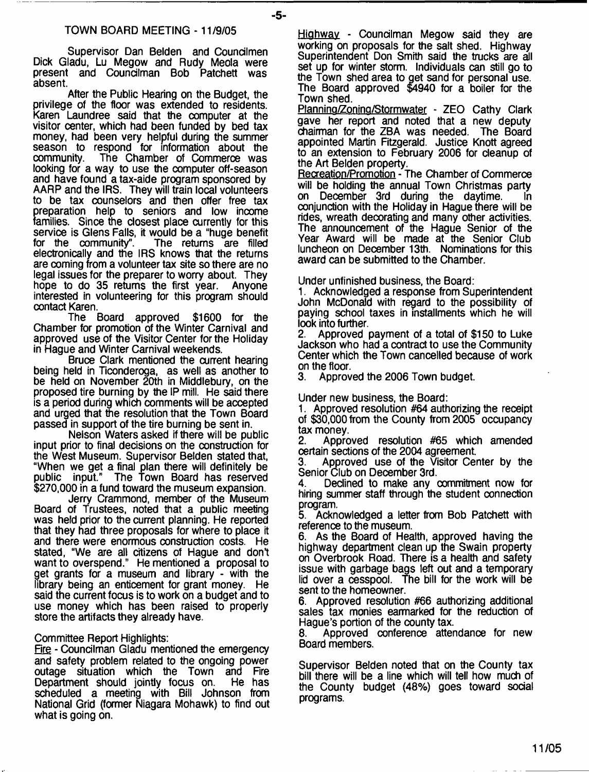Supervisor Dan Belden and Coundlmen Dick Gladu, Lu Megow and Rudy Meola were present and Councilman Bob Patchett was absent.

After the Public Hearing on the Budget, the privilege of the floor was extended to residents. Karen Laundree said that the computer at the visitor center, which had been funded by bed tax money, had been very helpful during the summer season to respond for information about the community. The Chamber of Commerce was The Chamber of Commerce was looking for a way to use the computer off-season and have found atax-aide program sponsored by AARP and the IRS. They will train local volunteers to be tax counselors and then offer free tax preparation help to seniors and low income families. Since the closest place currently for this service is Glens Falls, it would be a "huge benefit for the community". The returns are filled The returns are filled electronically and the IRS knows that the returns are coming from a volunteer tax site so there are no legal issues for the preparer to worry about. They hope to do 35 returns the first year. Anyone interested in volunteering for this program should contact Karen.

The Board approved \$1600 for the Chamber for promotion of the Winter Carnival and approved use of the Visitor Center for the Holiday in Hague and Winter Carnival weekends.

Bruce Clark mentioned the current hearing being held in Ticonderoga, as well as another to be held on November 20th in Middlebury, on the proposed tire burning by the IP mill. He said there is a period during which comments will be accepted and urged that the resolution that the Town Board passed in support of the tire burning be sent in.

Nelson Waters asked if there will be public input prior to final decisions on the construction for the West Museum. Supervisor Belden stated that, "When we get a final plan there will definitely be public input." The Town Board has reserved \$270,000 in a fund toward the museum expansion.

Jerry Crammond, member of the Museum Board of Trustees, noted that a public meeting was held prior to the current planning. He reported that they had three proposals for where to place it and there were enormous construction costs. He stated, "We are all citizens of Hague and don't want to overspend." He mentioned a proposal to get grants for a museum and library - with the library being an enticement for grant money. He said the current focus is to work on a budget and to use money which has been raised to properly store the artifacts they already have.

Committee Report Highlights:

Fire - Councilman Gladu mentioned the emergency and safety problem related to the ongoing power outage situation which the Town Department should jointly focus on. He has scheduled a meeting with Bill Johnson from National Grid (former Niagara Mohawk) to find out what is going on.

Highway - Councilman Megow said they are working on proposals for the salt shed. Highway Superintendent Don Smith said the trucks are all set up for winter storm. Individuals can still go to the Town shed area to get sand for personal use. The Board approved \$4940 for a boiler for the Town shed.

Planning/Zoning/Stormwater - ZEO Cathy Clark gave her report and noted that a new deputy chairman for the ZBA was needed. The Board appointed Martin Fitzgerald. Justice Knott agreed to an extension to February 2006 for cleanup of the Art Belden property.

Recreation/Promotion - The Chamber of Commerce will be holding the annual Town Christmas party<br>on December 3rd during the daytime. In on December 3rd during the daytime. conjunction with the Holiday in Hague there will be rides, wreath decorating and many other activities. The announcement of the Hague Senior of the Year Award will be made at the Senior Club luncheon on December 13th. Nominations for this award can be submitted to the Chamber.

Under unfinished business, the Board:

1. Acknowledged a response from Superintendent John McDonald with regard to the possibility of paying school taxes in installments which he will look into further.

2. Approved payment of a total of \$150 to Luke Jackson who had a contract to use the Community Center which the Town cancelled because of work on the floor.

3. Approved the 2006 Town budget.

Under new business, the Board:

1. Approved resolution #64 authorizing the receipt of \$30,000 from the County from 2005 occupancy

tax money.<br>2. Appro Approved resolution #65 which amended certain sections of the 2004 agreement.

Approved use of the Visitor Center by the Senior Club on December 3rd.

4. Declined to make any commitment now for hiring summer staff through the student connection program.

5. Acknowledged a letter from Bob Patchett with reference to the museum.

6. As the Board of Health, approved having the highway department clean up the Swain property on Overbrook Road. There is a health and safety issue with garbage bags left out and a temporary lid over a cesspool. The bill for the work will be sent to the homeowner.

6. Approved resolution #66 authorizing additional sales tax monies earmarked for the reduction of Hague's portion of the county tax.

8. Approved conference attendance for new Board members.

Supervisor Belden noted that on the County tax bill there will be a line which will tell how much of the County budget (48%) goes toward social programs.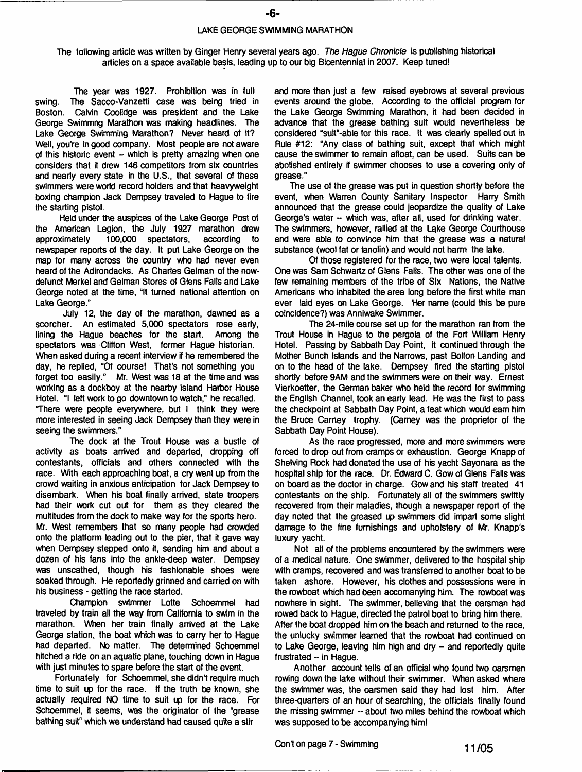#### **LAKE GEORGE SWIMMING MARATHON**

**The following article was written by Ginger Henry several years ago.** *The Hague Chronicle* **is publishing historical articles on a space available basis, leading up to our big Bicentennial in 2007. Keep tuned!**

**The year was 1927. Prohibition was in full swing. The Sacco-Vanzetti case was being tried in Boston. Calvin Coolidge was president and the Lake George Swimmng Marathon was making headlines. The Lake George Swimming Marathon? Never heard of it? Well, you're in good company. Most people are not aware of this historic event - which is pretty amazing when one considers that it drew 146 competitors from six countries and nearly every state in the U.S., that several of these swimmers were world record holders and that heavyweight boxing champion Jack Dempsey traveled to Hague to fire the starting pistol.**

**Held under the auspices of the Lake George Post of the American Legion, the July 1927 marathon drew** approximately 100,000 spectators, **newspaper reports of the day. It put Lake George on the map for many across the country who had never even heard of the Adirondacks. As Charles Gelman of the nowdefunct Merkel and Gelman Stores of Glens Falls and Lake** George noted at the time, "It turned national attention on **Lake George."**

**July 12, the day of the marathon, dawned as a scorcher. An estimated 5,000 spectators rose early, lining the Hague beaches for the start. Among the spectators was Clifton West, former Hague historian. When asked during a recent interview if he remembered the day, he replied, "Of course! That's not something you forget too easily." Mr. West was 18 at the time and was working as a dockboy at the nearby Island Harbor House Hotel. "I left work to go downtown to watch," he recalled. There were people everywhere, but I think they were more interested in seeing Jack Dempsey than they were in seeing the swimmers."**

**The dock at the Trout House was a bustle of activity as boats arrived and departed, dropping off contestants, officials and others connected with the race. With each approaching boat, a cry went up from the crowd waiting in anxious anticipation for Jack Dempsey to disembark. When his boat finally arrived, state troopers had their work cut out for them as they cleared the multitudes from the dock to make way for the sports hero. Mr. West remembers that so many people had crowded onto the platform leading out to the pier, that tt gave way when Dempsey stepped onto it, sending him and about a dozen of his fans into the ankle-deep water. Dempsey was unscathed, though his fashionable shoes were soaked through. He reportedly grinned and carried on with his business - getting the race started.**

**Champion swimmer Lotte Schoemmel had traveled by train ail the way from California to swim in the marathon. When her train finally arrived at the Lake George station, the boat which was to carry her to Hague had departed. No matter. The determined Schoemmel hitched a ride on an aquatic plane, touching down in Hague with just minutes to spare before the start of the event.**

**Fortunately for Schoemmel, she didn't require much time to suit up for the race. If the truth be known, she actually required NO time to suit up for the race. For Schoemmel, it seems, was the originator of the "grease bathing suit" which we understand had caused quite a stir**

**and more than just a few raised eyebrows at several previous events around the globe. According to the official program for the Lake George Swimming Marathon, it had been decided in advance that the grease bathing suit would nevertheless be considered "suit"-able for this race. It was clearly spelled out in Rule #12: "Any class of bathing suit, except that which might cause the swimmer to remain afloat, can be used. Suits can be abolished entirely if swimmer chooses to use a covering only of grease."**

**The use of the grease** *was* **put in question shortly before the event, when Warren County Sanitary Inspector Harry Smith announced that the grease could jeopardize the quality of Lake George's water - which was, after all, used for drinking water. The swimmers, however, rallied at the Lake George Courthouse and were able to convince him that the grease was a natural substance (wool fat or lanolin) and would not harm the lake.**

**Of those registered for the race, two were local talents. One was Sam Schwartz of Glens Falls. The other was one of the few remaining members of the tribe of Six Nations, the Native Americans who inhabited the area long before the first white man ever laid eyes on Lake George. Her name (could this be pure coincidence?) was Anniwake Swimmer.**

**The 24-mile course set up for the marathon ran from the Trout House in Hague to the pergola of the Fort William Henry Hotel. Passing by Sabbath Day Point, it continued through the Mother Bunch Islands and the Narrows, past Bolton Landing and on to the head of the lake. Dempsey fired the starting pistol shortly before 9AM and the swimmers were on their way. Ernest Vierkoetter, the German baker who held the record for swimming the English Channel, took an early lead. He was the first to pass the checkpoint at Sabbath Day Point, a feat which would earn him the Bruce Carney trophy. (Carney was the proprietor of the Sabbath Day Point House).**

**As the race progressed, more and more swimmers were forced to drop out from cramps or exhaustion. George Knapp of Shelving Rock had donated the use of his yacht Sayonara as the hospital ship for the race. Dr. Edward C. Gow of Glens Falls** *was* **on board as the doctor in charge. Gow and his staff treated 41 contestants on the ship. Fortunately all of the swimmers swiftly recovered from their maladies, though a newspaper report of the day noted that the greased up swimmers did impart some slight damage to the fine furnishings and upholstery of Mr. Knapp's luxury yacht.**

**Not a!) of the problems encountered by the swimmers were of a medical nature. One swimmer, delivered to the hospital ship with cramps, recovered and was transferred to another boat to be taken ashore. However, his clothes and possessions were in the rowboat which had been accomanying him. The rowboat was nowhere in sight. The swimmer, believing that the oarsman had rowed back to Hague, directed the patrol boat to bring him there. After the boat dropped him on the beach and returned to the race, the unlucky swimmer learned that the rowboat had continued on to Lake George, leaving him high and dry - and reportedly quite frustrated -- in Hague.**

**Another account tells of an official who found two oarsmen rowing down the lake without their swimmer. When asked where the swimmer was, the oarsmen said they had lost him. After three-quarters of an hour of searching, the officials finally found the missing swimmer -- about two miles behind the rowboat which was supposed to be accompanying him!**

**Con't on page 7 - Swimming** 11/05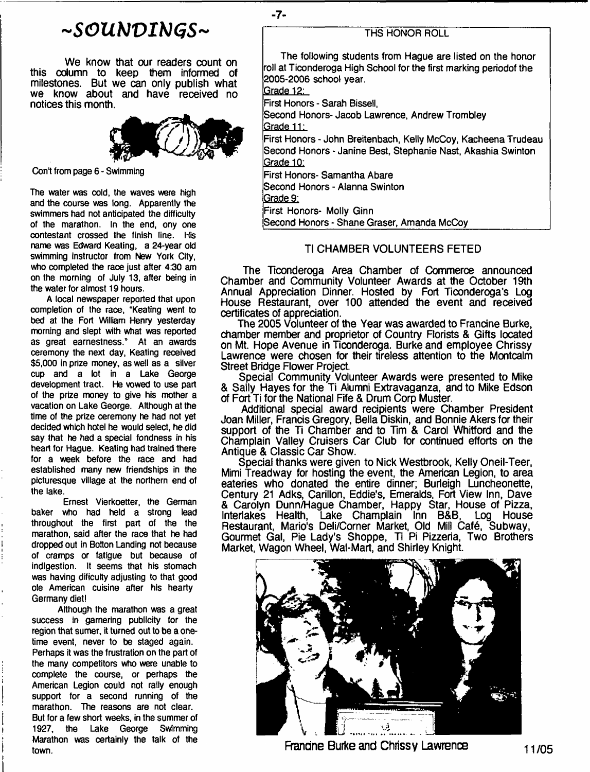# *- S O U b J V I M G S -*

We know that our readers count on this column to keep them informed of milestones. But we can only publish what we know about and have received no notices this month.



Con't from page 6 - Swimming

**The water was cold, the waves were high and the course was long. Apparently the swimmers had not anticipated the difficulty of the marathon. In the end, ony one contestant crossed the finish line. His name was Edward Keating, a 24-year old swimming instructor from New York City, who completed the race just after 4:30 am on the morning of July 13, after being in the water for almost 19 hours.**

**A local newspaper reported that upon completion of the race, "Keating went to bed at the Fort William Henry yesterday morning and slept with what was reported as great earnestness." At an awards ceremony the next day, Keating received \$5,000 in prize money, as well as a silver cup and a lot in a Lake George development tract. He vowed to use part of the prize money to give his mother a vacation on Lake George. Although at the time of the prize ceremony he had not yet decided which hotel he would select, he did say that he had a special fondness in his heart for Hague. Keating had trained there for a week before the race and had established many new friendships in the picturesque village at the northern end of the lake.**

**Ernest Vierkoetter, the German baker who had held a strong lead throughout the first part of the the marathon, said after the race that he had dropped out in Bolton Landing not because of cramps or fatigue but because of indigestion. It seems that his stomach was having dificulty adjusting to that good ole American cuisine after his hearty Germany diet!**

**Although the marathon was a great success in garnering publicity for the region that sumer, it turned out to be a onetime event, never to be staged again. Perhaps it was the frustration on the part of the many competitors who were unable to complete the course, or perhaps the American Legion could not rally enough support for a second running of the marathon. The reasons are not clear. But for a few short weeks, in the summer of 1927, the Lake George Swimming Marathon was oertainly the talk of the town.**

# **THS HONOR ROLL**

**The following students from Hague are listed on the honor roll at Ticonderoga High School for the first marking periodof the 2005-2006 school year.**

**Grade 12:**

**First Honors - Sarah Bissell,**

**Second Honors- Jacob Lawrence, Andrew Trombley**

**Grade 11:**

**First Honors - John Breitenbach, Kelly McCoy, Kacheena Trudeau Second Honors - Janine Best, Stephanie Nast, Akashia Swinton Grade 10:**

**First Honors- Samantha Abare**

**Second Honors - Alanna Swinton**

**Grade 9:**

**First Honors- Molly Ginn**

**Second Honors - Shane Graser, Amanda McCoy**

# Tl CHAMBER VOLUNTEERS FETED

The Ticonderoga Area Chamber of Commerce announced Chamber and Community Volunteer Awards at the October 19th Annual Appreciation Dinner. Hosted by Fort Ticonderoga's Log House Restaurant, over 100 attended the event and received certificates of appreciation.

The 2005 Volunteer of the Year was awarded to Francine Burke, chamber member and proprietor of Country Florists & Gifts located on Mt. Hope Avenue in Ticonderoga. Burke and employee Chrissy Lawrence were chosen for their tireless attention to the Montcalm Street Bridge Flower Project.

Spedal Community Volunteer Awards were presented to Mike & Sally Hayes for the Ti Alumni Extravaganza, and to Mike Edson of Fort Ti for the National Fife & Drum Corp Muster.

Additional special award recipients were Chamber President Joan Miller, Francis Gregory, Bella Diskin, and Bonnie Akers for their support of the Ti Chamber and to Tim & Carol Whitford and the Champlain Valley Cruisers Car Club for continued efforts on the Antique & Classic Car Show.

Special thanks were given to Nick Westbrook, Kelly Oneil-Teer, Mimi Treadway for hosting the event, the American Legion, to area eateries who donated the entire dinner; Burleigh Luncheonette, Century 21 Adks, Carillon, Eddie's, Emeralds, Fort View Inn, Dave & Carolyn Dunn/Hague Chamber, Happy Star, House of Pizza, Interlakes Health, Lake Champlain Inn B&B, Log House Restaurant, Mario's Deli/Corner Market, Old Mill Cafe, Subway, Gourmet Gal, Pie Lady's Shoppe, Ti Pi Pizzeria, Two Brothers Market, Wagon Wheel, Wal-Mart, and Shirley Knight.



Francine Burke and Chrissy Lawrence  $11/05$ 

- **7**-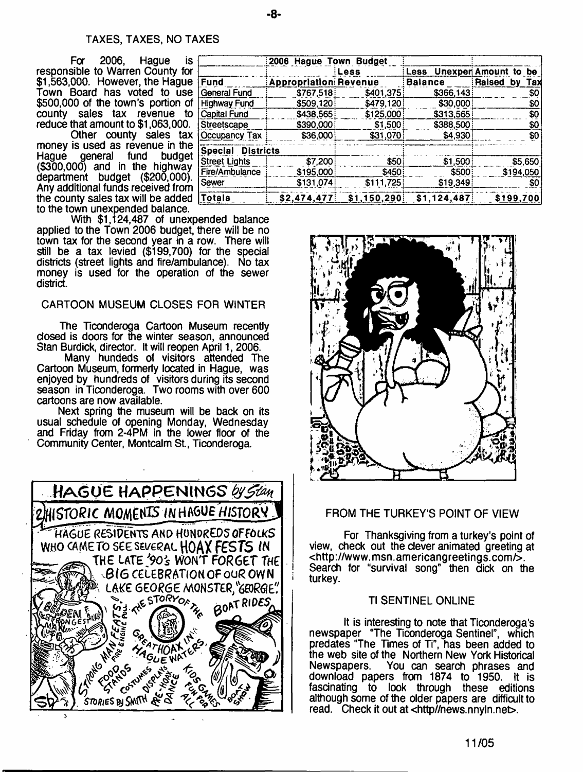## TAXES, TAXES, NO TAXES

For 2006. Haque is responsible to Warren County for \$1,563,000. However, the Hague Town Board has voted to use \$500,000 of the town's portion of county sales tax revenue to reduce that amount to \$1,063,000.

Other county sales tax money is used as revenue in the Hague general fund budget (\$300,000) and in the highway department budget (\$200,000). Any additional funds received from the county sales tax will be added  $| \overline{\mathfrak{I}}$ to the town unexpended balance.

With \$1,124,487 of unexpended balance applied to the Town 2006 budget, there will be no town tax for the second year in a row. There will still be a tax levied (\$199,700) for the special districts (street lights and fire/ambulance). No tax money is used for the operation of the sewer district.

## CARTOON MUSEUM CLOSES FOR WINTER

The Ticonderoga Cartoon Museum recently closed is doors for the winter season, announced Stan Burdick, director. It will reopen April 1,2006.

Many hundeds of visitors attended The Cartoon Museum, formerly located in Hague, was enjoyed by hundreds of visitors during its second season in Ticonderoga. Two rooms with over 600 cartoons are now available.

Next spring the museum will be back on its usual schedule of opening Monday, Wednesday and Friday from 2-4PM in the lower floor of the Community Center, Montcalm St., Ticonderoga.



|                          | 2006 Hague Town Budget       |              |                |                           |
|--------------------------|------------------------------|--------------|----------------|---------------------------|
|                          |                              | Less         |                | Less Unexper Amount to be |
| Fund                     | <b>Appropriation Revenue</b> |              | <b>Balance</b> | Raised by<br>Tax          |
| General Fund             | \$767,518                    | \$401,375    | \$366,143      | \$0                       |
| Highway Fund             | \$509,120                    | \$479.120    | \$30,000       | SO.                       |
| Capital Fund             | \$438,565                    | \$125,000    | \$313,565      | \$0                       |
| Streetscape              | \$390,000                    | \$1,500      | \$388,500      | \$0                       |
| Occupancy Tax            | \$36,000                     | \$31,070     | \$4,930        | \$0                       |
| <b>Special Districts</b> |                              |              |                |                           |
| <b>Street Lights</b>     | \$7,200                      | \$50         | \$1,500        | \$5,650                   |
| Fire/Ambulance           | \$195,000                    | \$450        | \$500          | \$194,050                 |
| Sewer                    | \$131,074                    | \$111,725    | \$19,349       | \$0                       |
| <b>Totals</b>            | \$2,474,477                  | \$1,150,290] | \$1,124,487    | \$199,700                 |



# FROM THE TURKEY'S POINT OF VIEW

For Thanksgiving from a turkey's point of view, check out the clever animated greeting at <<http://www.msn.americangreetings.com/>>. Search for "survival song" then dick on the turkey.

#### Tl SENTINEL ONLINE

It is interesting to note that Ticonderoga's newspaper "The Ticonderoga Sentinel", which predates "The Times of Ti", has been added to the web site of the Northern New York Historical Newspapers. You can search phrases and download papers from 1874 to 1950. It is fascinating to look through these editions although some of the older papers are difficult to read. Check it out at <http//news.nnyln.net>.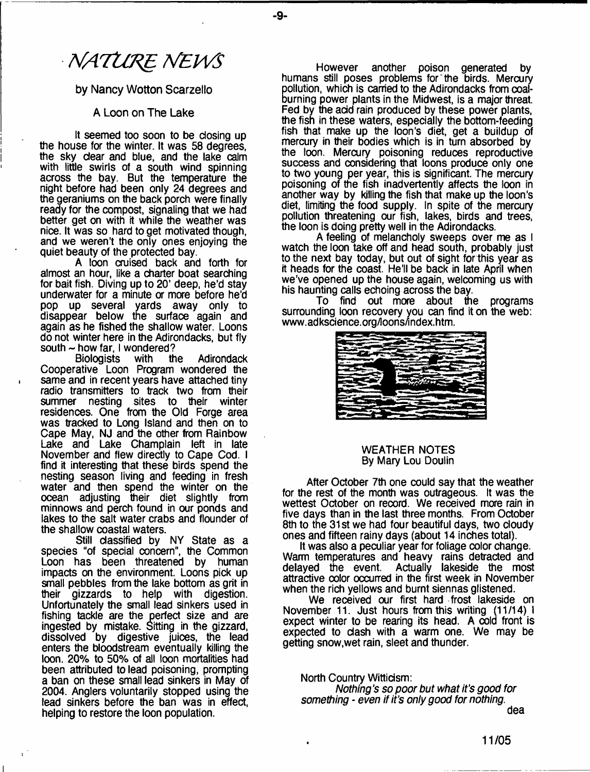# *NATURE NEWS*

## by Nancy Wotton Scarzello

## A Loon on The Lake

It seemed too soon to be closing up the house for the winter. It was 58 degrees, the sky dear and blue, and the lake calm with little swirls of a south wind spinning across the bay. But the temperature the night before had been only 24 degrees and the geraniums on the back porch were finally ready for the compost, signaling that we had better get on with it while the weather was nice. It was so hard to get motivated though, and we weren't the only ones enjoying the quiet beauty of the protected bay.

A loon cruised back and forth for almost an hour, like a charter boat searching for bait fish. Diving up to 20' deep, he'd stay underwater for a minute or more before he'd pop up several yards away only to disappear below the surface again and again as he fished the shallow water. Loons do not winter here in the Adirondacks, but fly south  $\sim$  how far, I wondered?<br>Biologists with the

Adirondack Cooperative Loon Program wondered the same and in recent years have attached tiny radio transmitters to track two from their summer nesting sites to their winter residences. One from the Old Forge area was tracked to Long Island and then on to Cape May, NJ and the other from Rainbow Lake and Lake Champlain left in late November and flew directly to Cape Cod. I find it interesting that these birds spend the nesting season living and feeding in fresh water and then spend the winter on the ocean adjusting their diet slightly from minnows and perch found in our ponds and lakes to the salt water crabs and flounder of the shallow coastal waters.

Still classified by NY State as a species "of special concern", the Common Loon has been threatened by human impacts on the environment. Loons pick up small pebbles from the lake bottom as grit in their gizzards to help with digestion. Unfortunately the small lead sinkers used in fishing tackle are the perfect size and are ingested by mistake, sitting in the gizzard, dissolved by digestive juices, the lead enters the bloodstream eventually killing the loon. 20% to 50% of all loon mortalities had been attributed to lead poisoning, prompting a ban on these small lead sinkers in May of 2004. Anglers voluntarily stopped using the lead sinkers before the ban was in effect, helping to restore the loon population.

However another poison generated by humans still poses problems for the birds. Mercury pollution, which is carried to the Adirondacks from coalburning power plants in the Midwest, is a major threat. Fed by the add rain produced by these power plants, the fish in these waters, espedally the bottom-feeding fish that make up the loon's diet, get a buildup of mercury in their bodies which is in turn absorbed by the loon. Mercury poisoning reduces reproductive success and considering that loons produce only one to two young per year, this is significant. The mercury poisoning of the fish inadvertently affects the loon in another way by killing the fish that make up the loon's diet, limiting the food supply. In spite of the mercury pollution threatening our fish, lakes, birds and trees, the loon is doing pretty well in the Adirondacks.

A feeling of melancholy sweeps over me as I watch the loon take off and head south, probably just to the next bay today, but out of sight for this year as it heads for the coast. He'll be back in late April when we've opened up the house again, welcoming us with his haunting calls echoing across the bay.

To find out more about the programs surrounding loon recovery you can find it on the web: [www.adksdence.org/loons/index.htm](http://www.adksdence.org/loons/index.htm).



#### WEATHER NOTES By Mary Lou Doulin

After October 7th one could say that the weather for the rest of the month was outrageous. It was the wettest October on record. We received more rain in five days than in the last three months. From October 8th to the 31st we had four beautiful days, two doudy ones and fifteen rainy days (about 14 inches total).

It was also a peculiar year for foliage color change. Warm temperatures and heavy rains detracted and delayed the event. Actually lakeside the most attractive oolor occurred in the first week in November when the rich yellows and burnt siennas glistened.

We received our first hard frost lakeside on November 11. Just hours from this writing (11/14) I expect winter to be rearing its head. A cold front is expected to dash with a warm one. We may be getting snow,wet rain, sleet and thunder.

North Country Witticism: *Nothing's so poor but what it's good for something - even if its only good for nothing.* dea

**11/05**